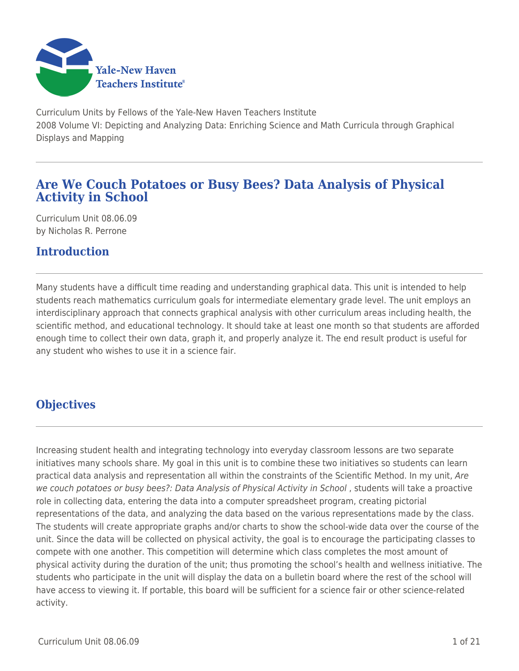

Curriculum Units by Fellows of the Yale-New Haven Teachers Institute 2008 Volume VI: Depicting and Analyzing Data: Enriching Science and Math Curricula through Graphical Displays and Mapping

# **Are We Couch Potatoes or Busy Bees? Data Analysis of Physical Activity in School**

Curriculum Unit 08.06.09 by Nicholas R. Perrone

# **Introduction**

Many students have a difficult time reading and understanding graphical data. This unit is intended to help students reach mathematics curriculum goals for intermediate elementary grade level. The unit employs an interdisciplinary approach that connects graphical analysis with other curriculum areas including health, the scientific method, and educational technology. It should take at least one month so that students are afforded enough time to collect their own data, graph it, and properly analyze it. The end result product is useful for any student who wishes to use it in a science fair.

# **Objectives**

Increasing student health and integrating technology into everyday classroom lessons are two separate initiatives many schools share. My goal in this unit is to combine these two initiatives so students can learn practical data analysis and representation all within the constraints of the Scientific Method. In my unit, Are we couch potatoes or busy bees?: Data Analysis of Physical Activity in School , students will take a proactive role in collecting data, entering the data into a computer spreadsheet program, creating pictorial representations of the data, and analyzing the data based on the various representations made by the class. The students will create appropriate graphs and/or charts to show the school-wide data over the course of the unit. Since the data will be collected on physical activity, the goal is to encourage the participating classes to compete with one another. This competition will determine which class completes the most amount of physical activity during the duration of the unit; thus promoting the school's health and wellness initiative. The students who participate in the unit will display the data on a bulletin board where the rest of the school will have access to viewing it. If portable, this board will be sufficient for a science fair or other science-related activity.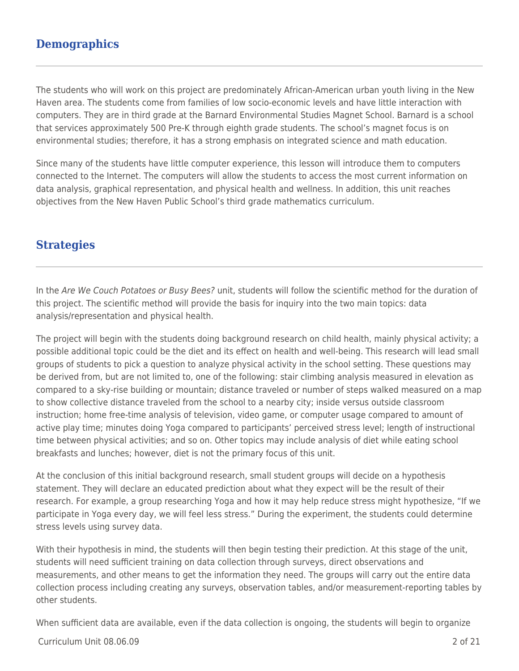## **Demographics**

The students who will work on this project are predominately African-American urban youth living in the New Haven area. The students come from families of low socio-economic levels and have little interaction with computers. They are in third grade at the Barnard Environmental Studies Magnet School. Barnard is a school that services approximately 500 Pre-K through eighth grade students. The school's magnet focus is on environmental studies; therefore, it has a strong emphasis on integrated science and math education.

Since many of the students have little computer experience, this lesson will introduce them to computers connected to the Internet. The computers will allow the students to access the most current information on data analysis, graphical representation, and physical health and wellness. In addition, this unit reaches objectives from the New Haven Public School's third grade mathematics curriculum.

## **Strategies**

In the Are We Couch Potatoes or Busy Bees? unit, students will follow the scientific method for the duration of this project. The scientific method will provide the basis for inquiry into the two main topics: data analysis/representation and physical health.

The project will begin with the students doing background research on child health, mainly physical activity; a possible additional topic could be the diet and its effect on health and well-being. This research will lead small groups of students to pick a question to analyze physical activity in the school setting. These questions may be derived from, but are not limited to, one of the following: stair climbing analysis measured in elevation as compared to a sky-rise building or mountain; distance traveled or number of steps walked measured on a map to show collective distance traveled from the school to a nearby city; inside versus outside classroom instruction; home free-time analysis of television, video game, or computer usage compared to amount of active play time; minutes doing Yoga compared to participants' perceived stress level; length of instructional time between physical activities; and so on. Other topics may include analysis of diet while eating school breakfasts and lunches; however, diet is not the primary focus of this unit.

At the conclusion of this initial background research, small student groups will decide on a hypothesis statement. They will declare an educated prediction about what they expect will be the result of their research. For example, a group researching Yoga and how it may help reduce stress might hypothesize, "If we participate in Yoga every day, we will feel less stress." During the experiment, the students could determine stress levels using survey data.

With their hypothesis in mind, the students will then begin testing their prediction. At this stage of the unit, students will need sufficient training on data collection through surveys, direct observations and measurements, and other means to get the information they need. The groups will carry out the entire data collection process including creating any surveys, observation tables, and/or measurement-reporting tables by other students.

When sufficient data are available, even if the data collection is ongoing, the students will begin to organize

#### Curriculum Unit 08.06.09 2 of 21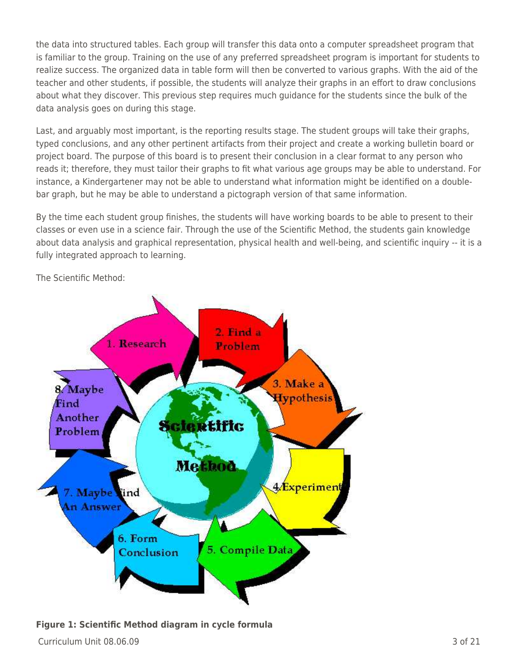the data into structured tables. Each group will transfer this data onto a computer spreadsheet program that is familiar to the group. Training on the use of any preferred spreadsheet program is important for students to realize success. The organized data in table form will then be converted to various graphs. With the aid of the teacher and other students, if possible, the students will analyze their graphs in an effort to draw conclusions about what they discover. This previous step requires much guidance for the students since the bulk of the data analysis goes on during this stage.

Last, and arguably most important, is the reporting results stage. The student groups will take their graphs, typed conclusions, and any other pertinent artifacts from their project and create a working bulletin board or project board. The purpose of this board is to present their conclusion in a clear format to any person who reads it; therefore, they must tailor their graphs to fit what various age groups may be able to understand. For instance, a Kindergartener may not be able to understand what information might be identified on a doublebar graph, but he may be able to understand a pictograph version of that same information.

By the time each student group finishes, the students will have working boards to be able to present to their classes or even use in a science fair. Through the use of the Scientific Method, the students gain knowledge about data analysis and graphical representation, physical health and well-being, and scientific inquiry -- it is a fully integrated approach to learning.

The Scientific Method:



### **Figure 1: Scientific Method diagram in cycle formula**

 $C$ urriculum Unit 08.06.09  $\qquad \qquad$  3 of 21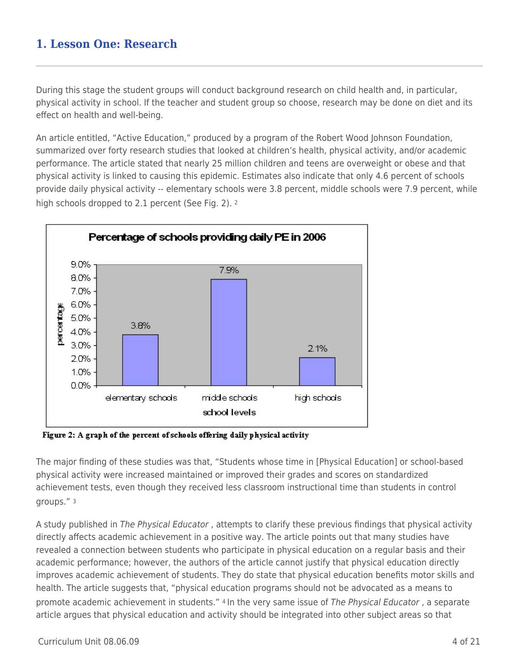During this stage the student groups will conduct background research on child health and, in particular, physical activity in school. If the teacher and student group so choose, research may be done on diet and its effect on health and well-being.

An article entitled, "Active Education," produced by a program of the Robert Wood Johnson Foundation, summarized over forty research studies that looked at children's health, physical activity, and/or academic performance. The article stated that nearly 25 million children and teens are overweight or obese and that physical activity is linked to causing this epidemic. Estimates also indicate that only 4.6 percent of schools provide daily physical activity -- elementary schools were 3.8 percent, middle schools were 7.9 percent, while high schools dropped to 2.1 percent (See Fig. 2). 2



Figure 2: A graph of the percent of schools offering daily physical activity

The major finding of these studies was that, "Students whose time in [Physical Education] or school-based physical activity were increased maintained or improved their grades and scores on standardized achievement tests, even though they received less classroom instructional time than students in control groups." <sup>3</sup>

A study published in The Physical Educator , attempts to clarify these previous findings that physical activity directly affects academic achievement in a positive way. The article points out that many studies have revealed a connection between students who participate in physical education on a regular basis and their academic performance; however, the authors of the article cannot justify that physical education directly improves academic achievement of students. They do state that physical education benefits motor skills and health. The article suggests that, "physical education programs should not be advocated as a means to promote academic achievement in students." 4 In the very same issue of The Physical Educator, a separate article argues that physical education and activity should be integrated into other subject areas so that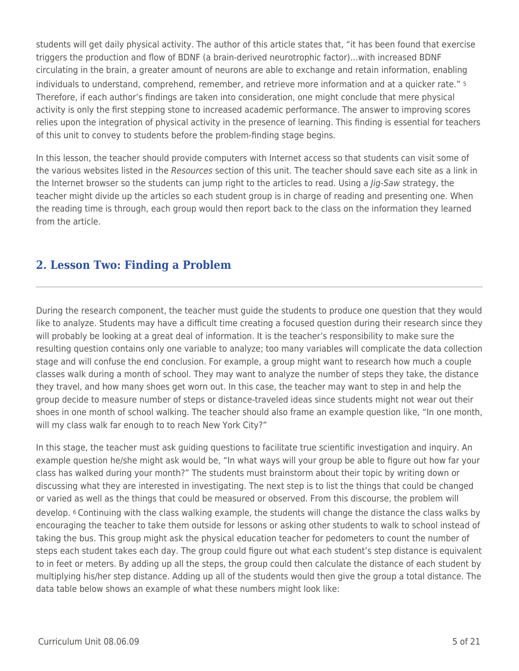students will get daily physical activity. The author of this article states that, "it has been found that exercise triggers the production and flow of BDNF (a brain-derived neurotrophic factor)…with increased BDNF circulating in the brain, a greater amount of neurons are able to exchange and retain information, enabling individuals to understand, comprehend, remember, and retrieve more information and at a quicker rate." <sup>5</sup> Therefore, if each author's findings are taken into consideration, one might conclude that mere physical activity is only the first stepping stone to increased academic performance. The answer to improving scores relies upon the integration of physical activity in the presence of learning. This finding is essential for teachers of this unit to convey to students before the problem-finding stage begins.

In this lesson, the teacher should provide computers with Internet access so that students can visit some of the various websites listed in the Resources section of this unit. The teacher should save each site as a link in the Internet browser so the students can jump right to the articles to read. Using a *lig-Saw* strategy, the teacher might divide up the articles so each student group is in charge of reading and presenting one. When the reading time is through, each group would then report back to the class on the information they learned from the article.

# **2. Lesson Two: Finding a Problem**

During the research component, the teacher must guide the students to produce one question that they would like to analyze. Students may have a difficult time creating a focused question during their research since they will probably be looking at a great deal of information. It is the teacher's responsibility to make sure the resulting question contains only one variable to analyze; too many variables will complicate the data collection stage and will confuse the end conclusion. For example, a group might want to research how much a couple classes walk during a month of school. They may want to analyze the number of steps they take, the distance they travel, and how many shoes get worn out. In this case, the teacher may want to step in and help the group decide to measure number of steps or distance-traveled ideas since students might not wear out their shoes in one month of school walking. The teacher should also frame an example question like, "In one month, will my class walk far enough to to reach New York City?"

In this stage, the teacher must ask guiding questions to facilitate true scientific investigation and inquiry. An example question he/she might ask would be, "In what ways will your group be able to figure out how far your class has walked during your month?" The students must brainstorm about their topic by writing down or discussing what they are interested in investigating. The next step is to list the things that could be changed or varied as well as the things that could be measured or observed. From this discourse, the problem will develop. 6 Continuing with the class walking example, the students will change the distance the class walks by encouraging the teacher to take them outside for lessons or asking other students to walk to school instead of taking the bus. This group might ask the physical education teacher for pedometers to count the number of steps each student takes each day. The group could figure out what each student's step distance is equivalent to in feet or meters. By adding up all the steps, the group could then calculate the distance of each student by multiplying his/her step distance. Adding up all of the students would then give the group a total distance. The data table below shows an example of what these numbers might look like: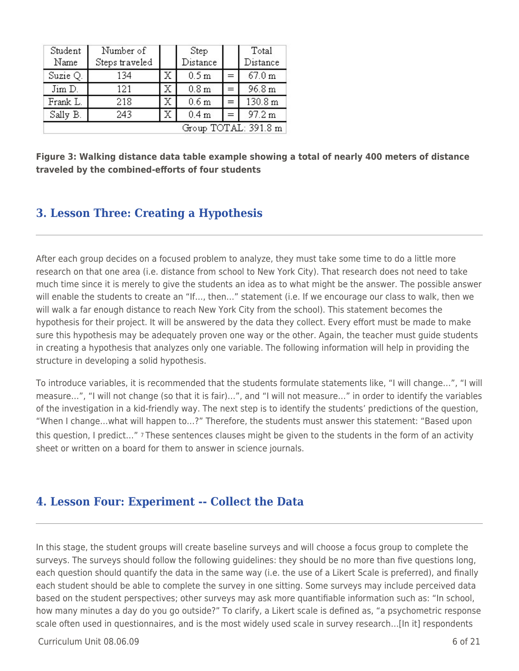| Student              | Number of      |    | Step             |     | Total    |  |
|----------------------|----------------|----|------------------|-----|----------|--|
| Name                 | Steps traveled |    | Distance         |     | Distance |  |
| Suzie Q.             | 134            | Х  | 0.5 <sub>m</sub> | $=$ | 67.0 m   |  |
| Jim D.               | 121            | Х  | 0.8 <sub>m</sub> | $=$ | 96.8 m   |  |
| Frank L.             | 218            | Х  | 0.6 <sub>m</sub> | $=$ | 130.8 m  |  |
| Sally B.             | 243            | Х. | 0.4 <sub>m</sub> | $=$ | 97.2 m   |  |
| Group TOTAL: 391.8 m |                |    |                  |     |          |  |

**Figure 3: Walking distance data table example showing a total of nearly 400 meters of distance traveled by the combined-efforts of four students**

## **3. Lesson Three: Creating a Hypothesis**

After each group decides on a focused problem to analyze, they must take some time to do a little more research on that one area (i.e. distance from school to New York City). That research does not need to take much time since it is merely to give the students an idea as to what might be the answer. The possible answer will enable the students to create an "If…, then…" statement (i.e. If we encourage our class to walk, then we will walk a far enough distance to reach New York City from the school). This statement becomes the hypothesis for their project. It will be answered by the data they collect. Every effort must be made to make sure this hypothesis may be adequately proven one way or the other. Again, the teacher must guide students in creating a hypothesis that analyzes only one variable. The following information will help in providing the structure in developing a solid hypothesis.

To introduce variables, it is recommended that the students formulate statements like, "I will change…", "I will measure…", "I will not change (so that it is fair)…", and "I will not measure…" in order to identify the variables of the investigation in a kid-friendly way. The next step is to identify the students' predictions of the question, "When I change…what will happen to…?" Therefore, the students must answer this statement: "Based upon this question, I predict…" 7 These sentences clauses might be given to the students in the form of an activity sheet or written on a board for them to answer in science journals.

## **4. Lesson Four: Experiment -- Collect the Data**

In this stage, the student groups will create baseline surveys and will choose a focus group to complete the surveys. The surveys should follow the following guidelines: they should be no more than five questions long, each question should quantify the data in the same way (i.e. the use of a Likert Scale is preferred), and finally each student should be able to complete the survey in one sitting. Some surveys may include perceived data based on the student perspectives; other surveys may ask more quantifiable information such as: "In school, how many minutes a day do you go outside?" To clarify, a Likert scale is defined as, "a psychometric response scale often used in questionnaires, and is the most widely used scale in survey research…[In it] respondents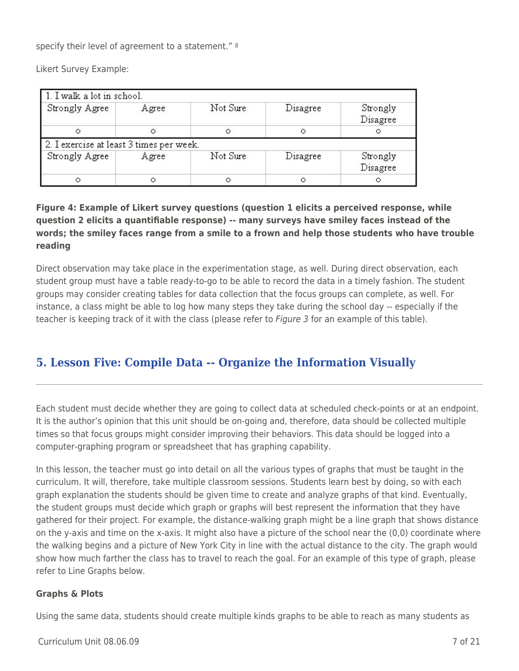specify their level of agreement to a statement." <sup>8</sup>

Likert Survey Example:

| 1. I walk a lot in school. |                                          |          |          |                      |
|----------------------------|------------------------------------------|----------|----------|----------------------|
| Strongly Agree             | Agree                                    | Not Sure | Disagree | Strongly<br>Disagree |
| Ο                          | $\circ$                                  | Ο        | $\circ$  |                      |
|                            | 2. I exercise at least 3 times per week. |          |          |                      |
| Strongly Agree             | Agree                                    | Not Sure | Disagree | Strongly<br>Disagree |
|                            | Ο                                        |          | Ο        | $\circ$              |

## **Figure 4: Example of Likert survey questions (question 1 elicits a perceived response, while question 2 elicits a quantifiable response) -- many surveys have smiley faces instead of the words; the smiley faces range from a smile to a frown and help those students who have trouble reading**

Direct observation may take place in the experimentation stage, as well. During direct observation, each student group must have a table ready-to-go to be able to record the data in a timely fashion. The student groups may consider creating tables for data collection that the focus groups can complete, as well. For instance, a class might be able to log how many steps they take during the school day -- especially if the teacher is keeping track of it with the class (please refer to *Figure 3* for an example of this table).

# **5. Lesson Five: Compile Data -- Organize the Information Visually**

Each student must decide whether they are going to collect data at scheduled check-points or at an endpoint. It is the author's opinion that this unit should be on-going and, therefore, data should be collected multiple times so that focus groups might consider improving their behaviors. This data should be logged into a computer-graphing program or spreadsheet that has graphing capability.

In this lesson, the teacher must go into detail on all the various types of graphs that must be taught in the curriculum. It will, therefore, take multiple classroom sessions. Students learn best by doing, so with each graph explanation the students should be given time to create and analyze graphs of that kind. Eventually, the student groups must decide which graph or graphs will best represent the information that they have gathered for their project. For example, the distance-walking graph might be a line graph that shows distance on the y-axis and time on the x-axis. It might also have a picture of the school near the (0,0) coordinate where the walking begins and a picture of New York City in line with the actual distance to the city. The graph would show how much farther the class has to travel to reach the goal. For an example of this type of graph, please refer to Line Graphs below.

### **Graphs & Plots**

Using the same data, students should create multiple kinds graphs to be able to reach as many students as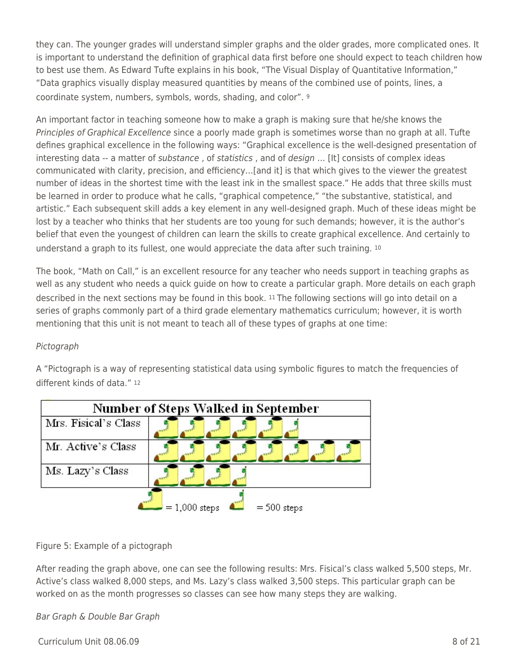they can. The younger grades will understand simpler graphs and the older grades, more complicated ones. It is important to understand the definition of graphical data first before one should expect to teach children how to best use them. As Edward Tufte explains in his book, "The Visual Display of Quantitative Information," "Data graphics visually display measured quantities by means of the combined use of points, lines, a coordinate system, numbers, symbols, words, shading, and color". <sup>9</sup>

An important factor in teaching someone how to make a graph is making sure that he/she knows the Principles of Graphical Excellence since a poorly made graph is sometimes worse than no graph at all. Tufte defines graphical excellence in the following ways: "Graphical excellence is the well-designed presentation of interesting data -- a matter of *substance*, of *statistics*, and of *design* ... [It] consists of complex ideas communicated with clarity, precision, and efficiency…[and it] is that which gives to the viewer the greatest number of ideas in the shortest time with the least ink in the smallest space." He adds that three skills must be learned in order to produce what he calls, "graphical competence," "the substantive, statistical, and artistic." Each subsequent skill adds a key element in any well-designed graph. Much of these ideas might be lost by a teacher who thinks that her students are too young for such demands; however, it is the author's belief that even the youngest of children can learn the skills to create graphical excellence. And certainly to understand a graph to its fullest, one would appreciate the data after such training. <sup>10</sup>

The book, "Math on Call," is an excellent resource for any teacher who needs support in teaching graphs as well as any student who needs a quick guide on how to create a particular graph. More details on each graph described in the next sections may be found in this book. 11 The following sections will go into detail on a series of graphs commonly part of a third grade elementary mathematics curriculum; however, it is worth mentioning that this unit is not meant to teach all of these types of graphs at one time:

### Pictograph

A "Pictograph is a way of representing statistical data using symbolic figures to match the frequencies of different kinds of data." <sup>12</sup>



Figure 5: Example of a pictograph

After reading the graph above, one can see the following results: Mrs. Fisical's class walked 5,500 steps, Mr. Active's class walked 8,000 steps, and Ms. Lazy's class walked 3,500 steps. This particular graph can be worked on as the month progresses so classes can see how many steps they are walking.

Bar Graph & Double Bar Graph

 $C$ urriculum Unit 08.06.09  $\qquad \qquad$  8 of 21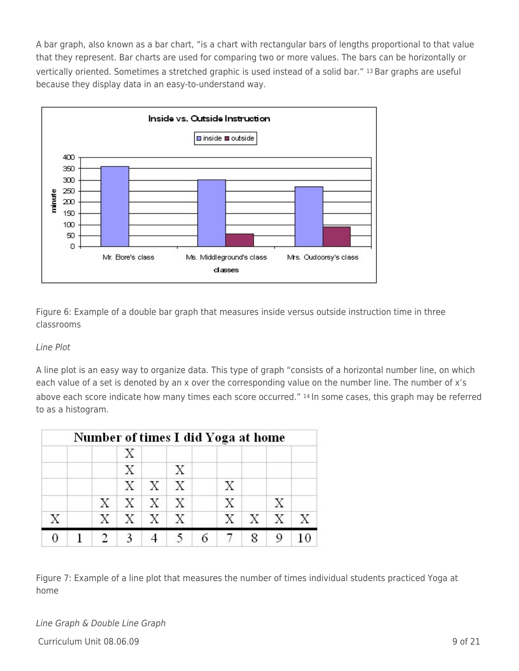A bar graph, also known as a bar chart, "is a chart with rectangular bars of lengths proportional to that value that they represent. Bar charts are used for comparing two or more values. The bars can be horizontally or vertically oriented. Sometimes a stretched graphic is used instead of a solid bar." 13 Bar graphs are useful because they display data in an easy-to-understand way.



Figure 6: Example of a double bar graph that measures inside versus outside instruction time in three classrooms

### Line Plot

A line plot is an easy way to organize data. This type of graph "consists of a horizontal number line, on which each value of a set is denoted by an x over the corresponding value on the number line. The number of x's above each score indicate how many times each score occurred." 14 In some cases, this graph may be referred to as a histogram.

|   | Number of times I did Yoga at home |              |                       |   |   |   |            |              |
|---|------------------------------------|--------------|-----------------------|---|---|---|------------|--------------|
|   |                                    | X            |                       |   |   |   |            |              |
|   |                                    | $\mathbf{X}$ |                       | Х |   |   |            |              |
|   |                                    |              | $X \mid X \mid X$     |   | Х |   |            |              |
|   |                                    |              | $X$   $X$   $X$   $X$ |   | Х |   | X          |              |
| X |                                    |              | $X$   $X$   $X$   $X$ |   | X |   | $X \mid X$ | $\mathbf{X}$ |
|   |                                    |              |                       |   | 7 | 8 |            |              |

Figure 7: Example of a line plot that measures the number of times individual students practiced Yoga at home

 $C$ urriculum Unit 08.06.09 9 of 21 Line Graph & Double Line Graph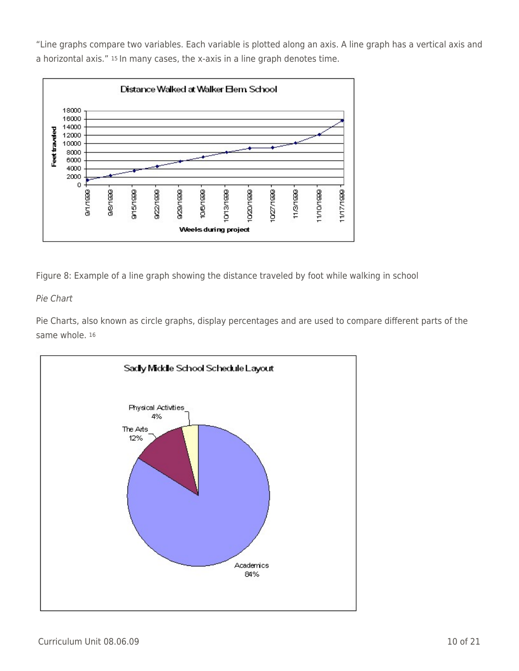"Line graphs compare two variables. Each variable is plotted along an axis. A line graph has a vertical axis and a horizontal axis." 15 In many cases, the x-axis in a line graph denotes time.



Figure 8: Example of a line graph showing the distance traveled by foot while walking in school

## Pie Chart

Pie Charts, also known as circle graphs, display percentages and are used to compare different parts of the same whole. 16

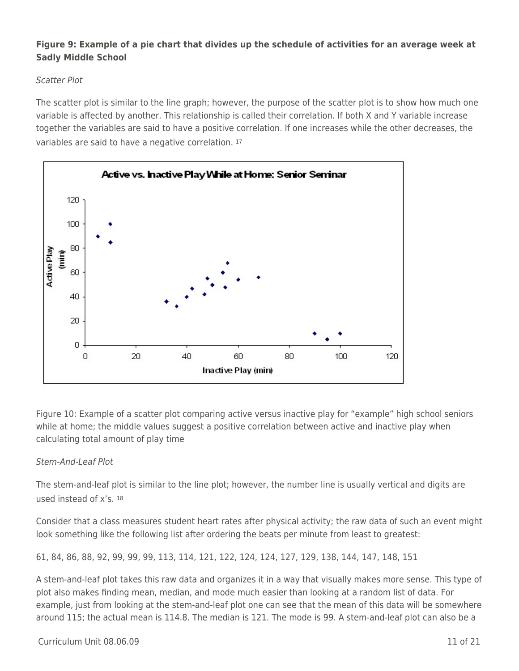### **Figure 9: Example of a pie chart that divides up the schedule of activities for an average week at Sadly Middle School**

### Scatter Plot

The scatter plot is similar to the line graph; however, the purpose of the scatter plot is to show how much one variable is affected by another. This relationship is called their correlation. If both X and Y variable increase together the variables are said to have a positive correlation. If one increases while the other decreases, the variables are said to have a negative correlation. <sup>17</sup>



Figure 10: Example of a scatter plot comparing active versus inactive play for "example" high school seniors while at home; the middle values suggest a positive correlation between active and inactive play when calculating total amount of play time

## Stem-And-Leaf Plot

The stem-and-leaf plot is similar to the line plot; however, the number line is usually vertical and digits are used instead of x's. <sup>18</sup>

Consider that a class measures student heart rates after physical activity; the raw data of such an event might look something like the following list after ordering the beats per minute from least to greatest:

61, 84, 86, 88, 92, 99, 99, 99, 113, 114, 121, 122, 124, 124, 127, 129, 138, 144, 147, 148, 151

A stem-and-leaf plot takes this raw data and organizes it in a way that visually makes more sense. This type of plot also makes finding mean, median, and mode much easier than looking at a random list of data. For example, just from looking at the stem-and-leaf plot one can see that the mean of this data will be somewhere around 115; the actual mean is 114.8. The median is 121. The mode is 99. A stem-and-leaf plot can also be a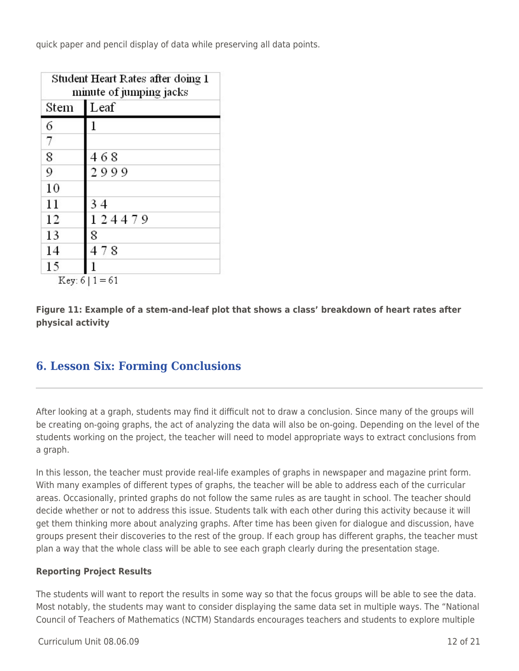quick paper and pencil display of data while preserving all data points.

| Student Heart Rates after doing 1<br>minute of jumping jacks |        |  |  |  |
|--------------------------------------------------------------|--------|--|--|--|
| Stem                                                         | Leaf   |  |  |  |
| 6                                                            | 1      |  |  |  |
| 7                                                            |        |  |  |  |
| 8                                                            | 468    |  |  |  |
| 9                                                            | 2999   |  |  |  |
| 10                                                           |        |  |  |  |
| 11                                                           | 34     |  |  |  |
| 12                                                           | 124479 |  |  |  |
| 13                                                           | 8      |  |  |  |
| 14                                                           | 478    |  |  |  |
| 15                                                           |        |  |  |  |

 $Key: 6 | 1 = 61$ 

**Figure 11: Example of a stem-and-leaf plot that shows a class' breakdown of heart rates after physical activity**

# **6. Lesson Six: Forming Conclusions**

After looking at a graph, students may find it difficult not to draw a conclusion. Since many of the groups will be creating on-going graphs, the act of analyzing the data will also be on-going. Depending on the level of the students working on the project, the teacher will need to model appropriate ways to extract conclusions from a graph.

In this lesson, the teacher must provide real-life examples of graphs in newspaper and magazine print form. With many examples of different types of graphs, the teacher will be able to address each of the curricular areas. Occasionally, printed graphs do not follow the same rules as are taught in school. The teacher should decide whether or not to address this issue. Students talk with each other during this activity because it will get them thinking more about analyzing graphs. After time has been given for dialogue and discussion, have groups present their discoveries to the rest of the group. If each group has different graphs, the teacher must plan a way that the whole class will be able to see each graph clearly during the presentation stage.

### **Reporting Project Results**

The students will want to report the results in some way so that the focus groups will be able to see the data. Most notably, the students may want to consider displaying the same data set in multiple ways. The "National Council of Teachers of Mathematics (NCTM) Standards encourages teachers and students to explore multiple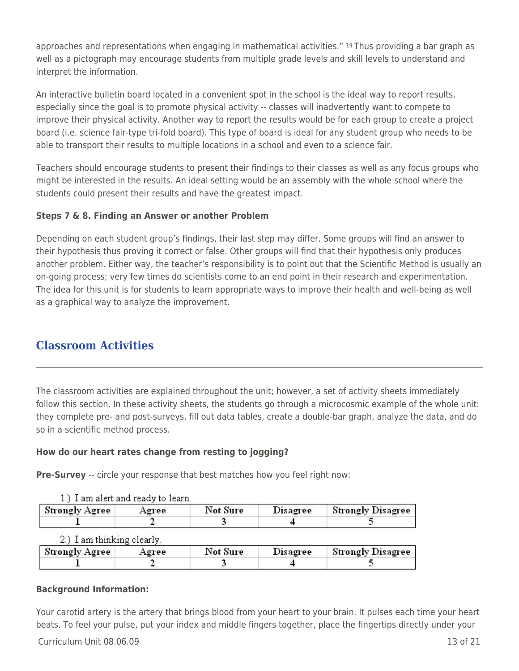approaches and representations when engaging in mathematical activities." 19 Thus providing a bar graph as well as a pictograph may encourage students from multiple grade levels and skill levels to understand and interpret the information.

An interactive bulletin board located in a convenient spot in the school is the ideal way to report results, especially since the goal is to promote physical activity -- classes will inadvertently want to compete to improve their physical activity. Another way to report the results would be for each group to create a project board (i.e. science fair-type tri-fold board). This type of board is ideal for any student group who needs to be able to transport their results to multiple locations in a school and even to a science fair.

Teachers should encourage students to present their findings to their classes as well as any focus groups who might be interested in the results. An ideal setting would be an assembly with the whole school where the students could present their results and have the greatest impact.

### **Steps 7 & 8. Finding an Answer or another Problem**

Depending on each student group's findings, their last step may differ. Some groups will find an answer to their hypothesis thus proving it correct or false. Other groups will find that their hypothesis only produces another problem. Either way, the teacher's responsibility is to point out that the Scientific Method is usually an on-going process; very few times do scientists come to an end point in their research and experimentation. The idea for this unit is for students to learn appropriate ways to improve their health and well-being as well as a graphical way to analyze the improvement.

# **Classroom Activities**

The classroom activities are explained throughout the unit; however, a set of activity sheets immediately follow this section. In these activity sheets, the students go through a microcosmic example of the whole unit: they complete pre- and post-surveys, fill out data tables, create a double-bar graph, analyze the data, and do so in a scientific method process.

## **How do our heart rates change from resting to jogging?**

**Pre-Survey** -- circle your response that best matches how you feel right now:

|                       | 1.) I am aiert and ready to learn. |          |                 |                   |
|-----------------------|------------------------------------|----------|-----------------|-------------------|
| <b>Strongly Agree</b> | Agree                              | Not Sure | <b>Disagree</b> | Strongly Disagree |
|                       |                                    |          |                 |                   |

#### $1 \times T$  am about and reader to 1.

### 2) Lam thinking clearly

| <b>Strongly Agree</b> | Agree | Not Sure | Disagree | <b>Strongly Disagree</b> |
|-----------------------|-------|----------|----------|--------------------------|
|                       |       |          |          |                          |

## **Background Information:**

Your carotid artery is the artery that brings blood from your heart to your brain. It pulses each time your heart beats. To feel your pulse, put your index and middle fingers together, place the fingertips directly under your

 $C$ urriculum Unit  $08.06.09$  13 of 21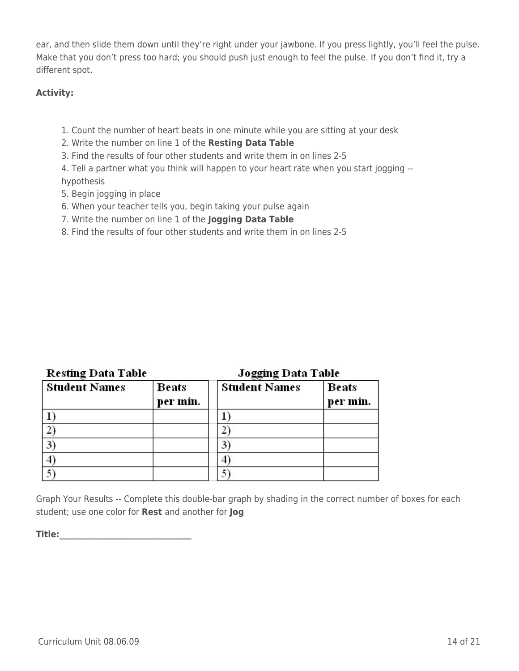ear, and then slide them down until they're right under your jawbone. If you press lightly, you'll feel the pulse. Make that you don't press too hard; you should push just enough to feel the pulse. If you don't find it, try a different spot.

### **Activity:**

- 1. Count the number of heart beats in one minute while you are sitting at your desk
- 2. Write the number on line 1 of the **Resting Data Table**
- 3. Find the results of four other students and write them in on lines 2-5
- 4. Tell a partner what you think will happen to your heart rate when you start jogging hypothesis
- 5. Begin jogging in place
- 6. When your teacher tells you, begin taking your pulse again
- 7. Write the number on line 1 of the **Jogging Data Table**
- 8. Find the results of four other students and write them in on lines 2-5

| Resting Data Table   |                          | Jogging Data Table   |                   |  |  |  |
|----------------------|--------------------------|----------------------|-------------------|--|--|--|
| <b>Student Names</b> | <b>Beats</b><br>per min. | <b>Student Names</b> | Beats<br>per min. |  |  |  |
|                      |                          |                      |                   |  |  |  |
|                      |                          |                      |                   |  |  |  |
| 3                    |                          |                      |                   |  |  |  |
| $\overline{4}$       |                          |                      |                   |  |  |  |

Graph Your Results -- Complete this double-bar graph by shading in the correct number of boxes for each student; use one color for **Rest** and another for **Jog**

5)

**Title:\_\_\_\_\_\_\_\_\_\_\_\_\_\_\_\_\_\_\_\_\_\_\_\_\_\_\_\_\_\_\_\_\_**

5)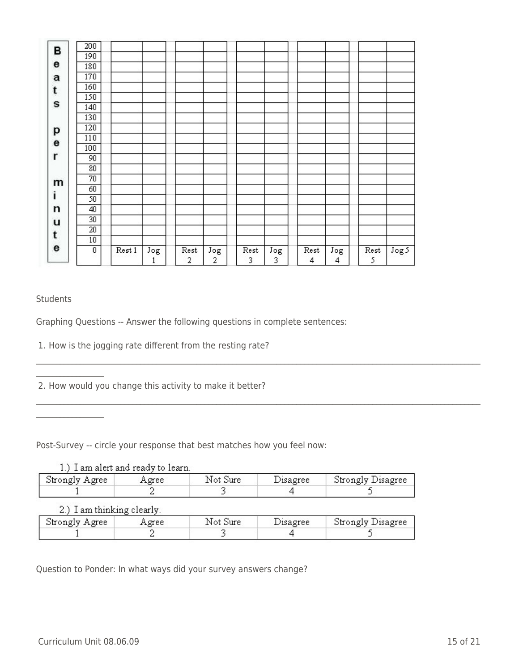| В           | 200             |        |          |           |          |           |          |           |          |           |                  |
|-------------|-----------------|--------|----------|-----------|----------|-----------|----------|-----------|----------|-----------|------------------|
|             | 190             |        |          |           |          |           |          |           |          |           |                  |
| e           | 180             |        |          |           |          |           |          |           |          |           |                  |
| a           | 170             |        |          |           |          |           |          |           |          |           |                  |
| t           | 160             |        |          |           |          |           |          |           |          |           |                  |
|             | 150             |        |          |           |          |           |          |           |          |           |                  |
| S           | 140             |        |          |           |          |           |          |           |          |           |                  |
|             | 130             |        |          |           |          |           |          |           |          |           |                  |
| p           | 120             |        |          |           |          |           |          |           |          |           |                  |
| $\mathbf e$ | 110             |        |          |           |          |           |          |           |          |           |                  |
|             | 100             |        |          |           |          |           |          |           |          |           |                  |
| r           | 90              |        |          |           |          |           |          |           |          |           |                  |
|             | 80              |        |          |           |          |           |          |           |          |           |                  |
| m           | 70              |        |          |           |          |           |          |           |          |           |                  |
|             | 60              |        |          |           |          |           |          |           |          |           |                  |
| i           | 50              |        |          |           |          |           |          |           |          |           |                  |
| n           | 40              |        |          |           |          |           |          |           |          |           |                  |
| u           | 30 <sub>2</sub> |        |          |           |          |           |          |           |          |           |                  |
| t           | $\overline{20}$ |        |          |           |          |           |          |           |          |           |                  |
|             | 10              |        |          |           |          |           |          |           |          |           |                  |
| e           | $\overline{0}$  | Rest 1 | Jog<br>ı | Rest<br>2 | Jog<br>2 | Rest<br>3 | Jog<br>3 | Rest<br>4 | Jog<br>4 | Rest<br>5 | Jog <sub>5</sub> |

### **Students**

 $\mathcal{L}=\mathcal{L}^{\mathcal{L}}$ 

Graphing Questions -- Answer the following questions in complete sentences:

1. How is the jogging rate different from the resting rate?

2. How would you change this activity to make it better?

Post-Survey -- circle your response that best matches how you feel now:

| 1.) I am alert and ready to learn. |       |          |          |                   |
|------------------------------------|-------|----------|----------|-------------------|
| Strongly Agree                     | Agree | Not Sure | Disagree | Strongly Disagree |
|                                    |       |          |          |                   |

\_\_\_\_\_\_\_\_\_\_\_\_\_\_\_\_\_\_\_\_\_\_\_\_\_\_\_\_\_\_\_\_\_\_\_\_\_\_\_\_\_\_\_\_\_\_\_\_\_\_\_\_\_\_\_\_\_\_\_\_\_\_\_\_\_\_\_\_\_\_\_\_\_\_\_\_\_\_\_\_\_\_\_\_\_\_\_\_\_\_\_\_\_\_\_\_\_\_\_\_\_\_\_\_\_\_\_\_\_\_\_

2.) I am thinking clearly.

| Strongly Agree | Agree | Not Sure | Disagree | Strongly Disagree |
|----------------|-------|----------|----------|-------------------|
|                |       |          |          |                   |

Question to Ponder: In what ways did your survey answers change?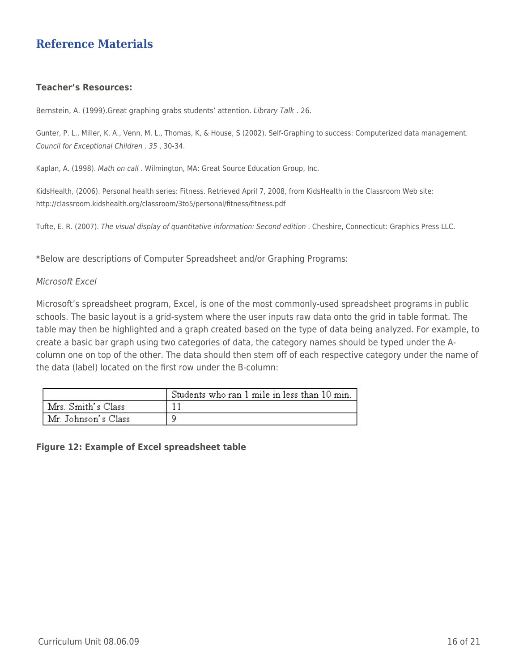#### **Teacher's Resources:**

Bernstein, A. (1999).Great graphing grabs students' attention. Library Talk . 26.

Gunter, P. L., Miller, K. A., Venn, M. L., Thomas, K, & House, S (2002). Self-Graphing to success: Computerized data management. Council for Exceptional Children . 35 , 30-34.

Kaplan, A. (1998). Math on call . Wilmington, MA: Great Source Education Group, Inc.

KidsHealth, (2006). Personal health series: Fitness. Retrieved April 7, 2008, from KidsHealth in the Classroom Web site: http://classroom.kidshealth.org/classroom/3to5/personal/fitness/fitness.pdf

Tufte, E. R. (2007). The visual display of quantitative information: Second edition . Cheshire, Connecticut: Graphics Press LLC.

\*Below are descriptions of Computer Spreadsheet and/or Graphing Programs:

#### Microsoft Excel

Microsoft's spreadsheet program, Excel, is one of the most commonly-used spreadsheet programs in public schools. The basic layout is a grid-system where the user inputs raw data onto the grid in table format. The table may then be highlighted and a graph created based on the type of data being analyzed. For example, to create a basic bar graph using two categories of data, the category names should be typed under the Acolumn one on top of the other. The data should then stem off of each respective category under the name of the data (label) located on the first row under the B-column:

|                     | Students who ran 1 mile in less than 10 min. |
|---------------------|----------------------------------------------|
| Mrs. Smith's Class  |                                              |
| Mr. Johnson's Class |                                              |

#### **Figure 12: Example of Excel spreadsheet table**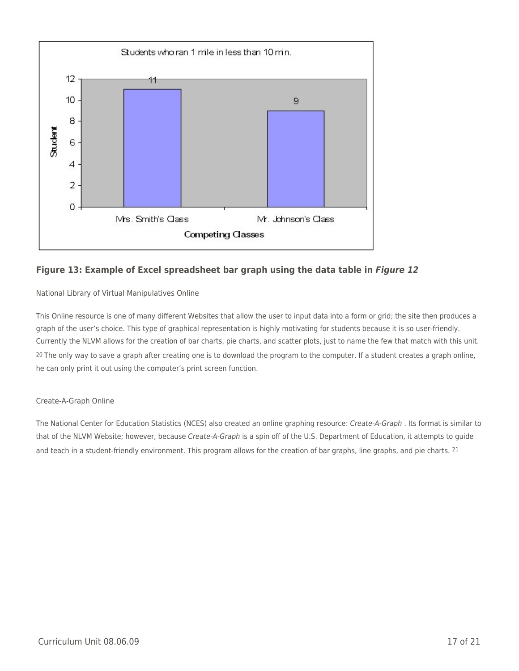

### **Figure 13: Example of Excel spreadsheet bar graph using the data table in** *Figure 12*

National Library of Virtual Manipulatives Online

This Online resource is one of many different Websites that allow the user to input data into a form or grid; the site then produces a graph of the user's choice. This type of graphical representation is highly motivating for students because it is so user-friendly. Currently the NLVM allows for the creation of bar charts, pie charts, and scatter plots, just to name the few that match with this unit. <sup>20</sup> The only way to save a graph after creating one is to download the program to the computer. If a student creates a graph online, he can only print it out using the computer's print screen function.

#### Create-A-Graph Online

The National Center for Education Statistics (NCES) also created an online graphing resource: Create-A-Graph . Its format is similar to that of the NLVM Website; however, because Create-A-Graph is a spin off of the U.S. Department of Education, it attempts to guide and teach in a student-friendly environment. This program allows for the creation of bar graphs, line graphs, and pie charts. <sup>21</sup>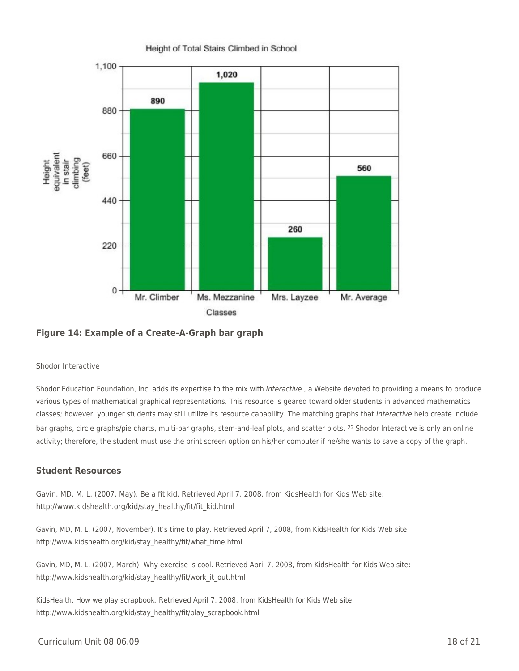

#### **Figure 14: Example of a Create-A-Graph bar graph**

#### Shodor Interactive

Shodor Education Foundation, Inc. adds its expertise to the mix with Interactive, a Website devoted to providing a means to produce various types of mathematical graphical representations. This resource is geared toward older students in advanced mathematics classes; however, younger students may still utilize its resource capability. The matching graphs that Interactive help create include bar graphs, circle graphs/pie charts, multi-bar graphs, stem-and-leaf plots, and scatter plots. 22 Shodor Interactive is only an online activity; therefore, the student must use the print screen option on his/her computer if he/she wants to save a copy of the graph.

#### **Student Resources**

Gavin, MD, M. L. (2007, May). Be a fit kid. Retrieved April 7, 2008, from KidsHealth for Kids Web site: http://www.kidshealth.org/kid/stay\_healthy/fit/fit\_kid.html

Gavin, MD, M. L. (2007, November). It's time to play. Retrieved April 7, 2008, from KidsHealth for Kids Web site: http://www.kidshealth.org/kid/stay\_healthy/fit/what\_time.html

Gavin, MD, M. L. (2007, March). Why exercise is cool. Retrieved April 7, 2008, from KidsHealth for Kids Web site: http://www.kidshealth.org/kid/stay\_healthy/fit/work\_it\_out.html

KidsHealth, How we play scrapbook. Retrieved April 7, 2008, from KidsHealth for Kids Web site: http://www.kidshealth.org/kid/stay\_healthy/fit/play\_scrapbook.html

#### $C$ urriculum Unit  $08.06.09$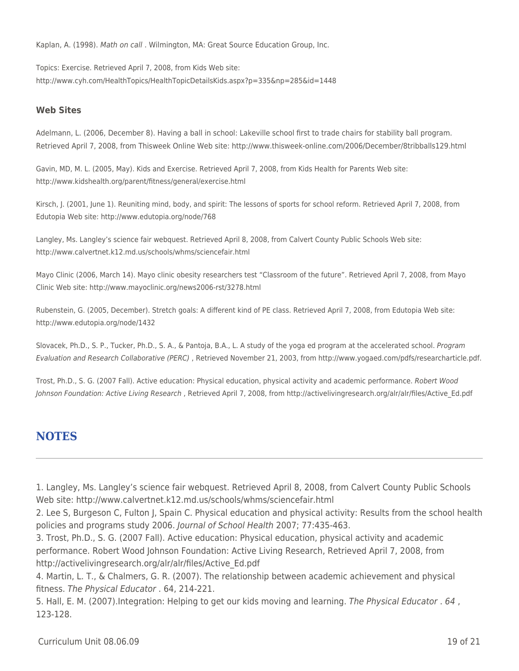Kaplan, A. (1998). Math on call . Wilmington, MA: Great Source Education Group, Inc.

Topics: Exercise. Retrieved April 7, 2008, from Kids Web site: http://www.cyh.com/HealthTopics/HealthTopicDetailsKids.aspx?p=335&np=285&id=1448

#### **Web Sites**

Adelmann, L. (2006, December 8). Having a ball in school: Lakeville school first to trade chairs for stability ball program. Retrieved April 7, 2008, from Thisweek Online Web site: http://www.thisweek-online.com/2006/December/8tribballs129.html

Gavin, MD, M. L. (2005, May). Kids and Exercise. Retrieved April 7, 2008, from Kids Health for Parents Web site: http://www.kidshealth.org/parent/fitness/general/exercise.html

Kirsch, J. (2001, June 1). Reuniting mind, body, and spirit: The lessons of sports for school reform. Retrieved April 7, 2008, from Edutopia Web site: http://www.edutopia.org/node/768

Langley, Ms. Langley's science fair webquest. Retrieved April 8, 2008, from Calvert County Public Schools Web site: http://www.calvertnet.k12.md.us/schools/whms/sciencefair.html

Mayo Clinic (2006, March 14). Mayo clinic obesity researchers test "Classroom of the future". Retrieved April 7, 2008, from Mayo Clinic Web site: http://www.mayoclinic.org/news2006-rst/3278.html

Rubenstein, G. (2005, December). Stretch goals: A different kind of PE class. Retrieved April 7, 2008, from Edutopia Web site: http://www.edutopia.org/node/1432

Slovacek, Ph.D., S. P., Tucker, Ph.D., S. A., & Pantoja, B.A., L. A study of the yoga ed program at the accelerated school. Program Evaluation and Research Collaborative (PERC) , Retrieved November 21, 2003, from http://www.yogaed.com/pdfs/researcharticle.pdf.

Trost, Ph.D., S. G. (2007 Fall). Active education: Physical education, physical activity and academic performance. Robert Wood Johnson Foundation: Active Living Research , Retrieved April 7, 2008, from http://activelivingresearch.org/alr/alr/files/Active\_Ed.pdf

## **NOTES**

1. Langley, Ms. Langley's science fair webquest. Retrieved April 8, 2008, from Calvert County Public Schools Web site: http://www.calvertnet.k12.md.us/schools/whms/sciencefair.html

2. Lee S, Burgeson C, Fulton J, Spain C. Physical education and physical activity: Results from the school health policies and programs study 2006. Journal of School Health 2007; 77:435-463.

3. Trost, Ph.D., S. G. (2007 Fall). Active education: Physical education, physical activity and academic performance. Robert Wood Johnson Foundation: Active Living Research, Retrieved April 7, 2008, from http://activelivingresearch.org/alr/alr/files/Active\_Ed.pdf

4. Martin, L. T., & Chalmers, G. R. (2007). The relationship between academic achievement and physical fitness. The Physical Educator . 64, 214-221.

5. Hall, E. M. (2007).Integration: Helping to get our kids moving and learning. The Physical Educator . 64 , 123-128.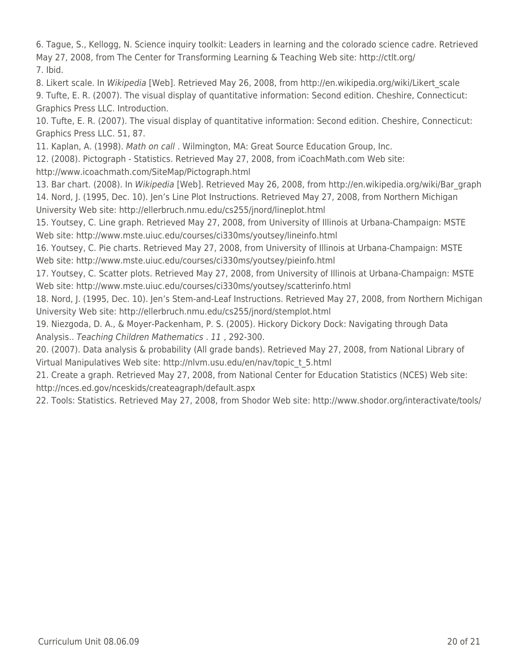6. Tague, S., Kellogg, N. Science inquiry toolkit: Leaders in learning and the colorado science cadre. Retrieved May 27, 2008, from The Center for Transforming Learning & Teaching Web site: http://ctlt.org/ 7. Ibid.

8. Likert scale. In Wikipedia [Web]. Retrieved May 26, 2008, from http://en.wikipedia.org/wiki/Likert\_scale 9. Tufte, E. R. (2007). The visual display of quantitative information: Second edition. Cheshire, Connecticut: Graphics Press LLC. Introduction.

10. Tufte, E. R. (2007). The visual display of quantitative information: Second edition. Cheshire, Connecticut: Graphics Press LLC. 51, 87.

11. Kaplan, A. (1998). Math on call . Wilmington, MA: Great Source Education Group, Inc.

12. (2008). Pictograph - Statistics. Retrieved May 27, 2008, from iCoachMath.com Web site: http://www.icoachmath.com/SiteMap/Pictograph.html

13. Bar chart. (2008). In Wikipedia [Web]. Retrieved May 26, 2008, from http://en.wikipedia.org/wiki/Bar\_graph 14. Nord, J. (1995, Dec. 10). Jen's Line Plot Instructions. Retrieved May 27, 2008, from Northern Michigan University Web site: http://ellerbruch.nmu.edu/cs255/jnord/lineplot.html

15. Youtsey, C. Line graph. Retrieved May 27, 2008, from University of Illinois at Urbana-Champaign: MSTE Web site: http://www.mste.uiuc.edu/courses/ci330ms/youtsey/lineinfo.html

16. Youtsey, C. Pie charts. Retrieved May 27, 2008, from University of Illinois at Urbana-Champaign: MSTE Web site: http://www.mste.uiuc.edu/courses/ci330ms/youtsey/pieinfo.html

17. Youtsey, C. Scatter plots. Retrieved May 27, 2008, from University of Illinois at Urbana-Champaign: MSTE Web site: http://www.mste.uiuc.edu/courses/ci330ms/youtsey/scatterinfo.html

18. Nord, J. (1995, Dec. 10). Jen's Stem-and-Leaf Instructions. Retrieved May 27, 2008, from Northern Michigan University Web site: http://ellerbruch.nmu.edu/cs255/jnord/stemplot.html

19. Niezgoda, D. A., & Moyer-Packenham, P. S. (2005). Hickory Dickory Dock: Navigating through Data Analysis.. Teaching Children Mathematics . 11 , 292-300.

20. (2007). Data analysis & probability (All grade bands). Retrieved May 27, 2008, from National Library of Virtual Manipulatives Web site: http://nlvm.usu.edu/en/nav/topic\_t\_5.html

21. Create a graph. Retrieved May 27, 2008, from National Center for Education Statistics (NCES) Web site: http://nces.ed.gov/nceskids/createagraph/default.aspx

22. Tools: Statistics. Retrieved May 27, 2008, from Shodor Web site: http://www.shodor.org/interactivate/tools/